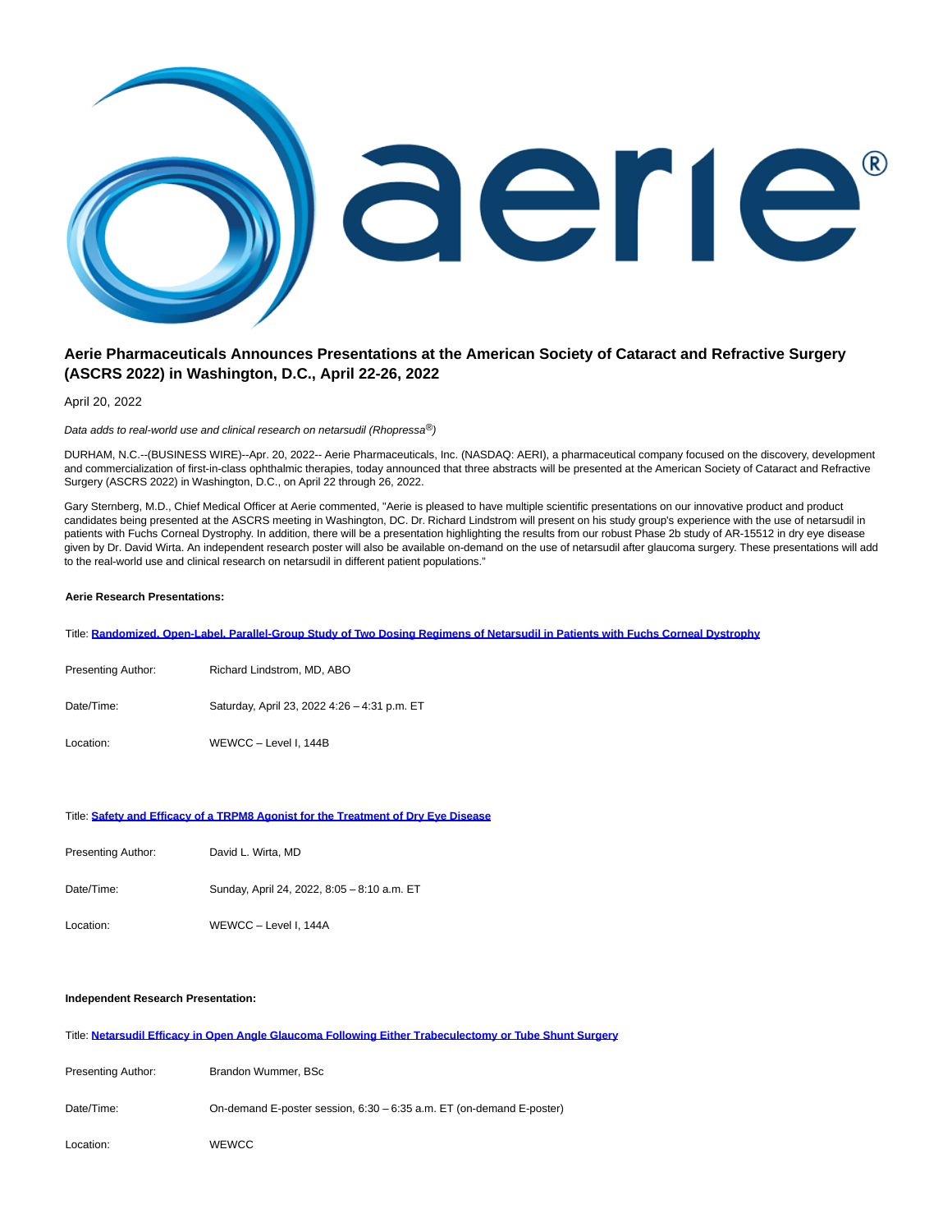

# **Aerie Pharmaceuticals Announces Presentations at the American Society of Cataract and Refractive Surgery (ASCRS 2022) in Washington, D.C., April 22-26, 2022**

April 20, 2022

Data adds to real-world use and clinical research on netarsudil (Rhopressa<sup>®</sup>)

DURHAM, N.C.--(BUSINESS WIRE)--Apr. 20, 2022-- Aerie Pharmaceuticals, Inc. (NASDAQ: AERI), a pharmaceutical company focused on the discovery, development and commercialization of first-in-class ophthalmic therapies, today announced that three abstracts will be presented at the American Society of Cataract and Refractive Surgery (ASCRS 2022) in Washington, D.C., on April 22 through 26, 2022.

Gary Sternberg, M.D., Chief Medical Officer at Aerie commented, "Aerie is pleased to have multiple scientific presentations on our innovative product and product candidates being presented at the ASCRS meeting in Washington, DC. Dr. Richard Lindstrom will present on his study group's experience with the use of netarsudil in patients with Fuchs Corneal Dystrophy. In addition, there will be a presentation highlighting the results from our robust Phase 2b study of AR-15512 in dry eye disease given by Dr. David Wirta. An independent research poster will also be available on-demand on the use of netarsudil after glaucoma surgery. These presentations will add to the real-world use and clinical research on netarsudil in different patient populations."

## **Aerie Research Presentations:**

Title: **[Randomized, Open-Label, Parallel-Group Study of Two Dosing Regimens of Netarsudil in Patients with Fuchs Corneal Dystrophy](https://cts.businesswire.com/ct/CT?id=smartlink&url=https%3A%2F%2Fshared.outlook.inky.com%2Flink%3Fdomain%3Dnam02.safelinks.protection.outlook.com%26t%3Dh.eJxtUm1v0zAQ_itTpPYTSh2_JZlUsZKykaoVQ3Qr8M2Jz62b1InstF1B_HfsAkKakM4-391zL_bjH9HRttHtTbQbht7dTiZGHBCOnVDQatO4uLfdAPWgOxN3x6Htuiauu8PkrU-bXnNGZDbC916Eq63zQaPgJWD-urzGWATzADBosxV9H9db7R2PogfrdZZkHI-lGMQUsVFaoMRvWzeANRXY7YgiAVZDvxP2IK6104IkwKBiGak4pjSrmVQMZVJgTDjUvPYQzlWVY8gSnqe0RlwIxFKSIUhyJAWTodOfxUmasTxPOGOE5iihYYwn05jubPxpvbnvq4dvriIyg8tiU-47vSroebmfnVfzmV4Wi0_B94zb4-p7Gex3a13yskl2YnMO9pfnouQrg0ZkHqZHKLT9LWN3vTorFnR-ucyUSx_xx8WRzlN1yj8ky_X-_fBZEkeevuqqgYeS-iJjCw7sCeQURW9uoiaQ2GoFrtZCnrTrrJvs28749xPm7lXkyiGpUlQxzqqaUSApVqmUoCqkBEiKmJr410AUJZynMaahCYQm_3i5e8VKgMgA-Y9_CL8s-fkLeGfCJw.MEUCIQC__Eh8GzyHz3z2q5p4-ktpAv_UXR8egDT1XtPeDUOYBQIgCWMplbKiRmRADpOwvkIvaXR2bpi5lDR9nk8mcJ2Asas&esheet=52692201&newsitemid=20220420006045&lan=en-US&anchor=Randomized%2C+Open-Label%2C+Parallel-Group+Study+of+Two+Dosing+Regimens+of+Netarsudil+in+Patients+with+Fuchs+Corneal+Dystrophy&index=1&md5=a1dbce64d96fe75667a2f1f2b3b31d1b)**

| Presenting Author: | Richard Lindstrom, MD, ABO                   |
|--------------------|----------------------------------------------|
| Date/Time:         | Saturday, April 23, 2022 4:26 - 4:31 p.m. ET |
| Location:          | WEWCC - Level I, 144B                        |

#### Title: **[Safety and Efficacy of a TRPM8 Agonist for the Treatment of Dry Eye Disease](https://cts.businesswire.com/ct/CT?id=smartlink&url=https%3A%2F%2Fshared.outlook.inky.com%2Flink%3Fdomain%3Dnam02.safelinks.protection.outlook.com%26t%3Dh.eJxtUm1v2jAQ_isVEnyaguO3JJXQSoPYQM26TgymfXPsCxiCndmhsE7777PZpknVpLPPd_fci_34x-Dk2sHtzWDX952_HY-NOCKceNFAq83BJ52zPcheW5PYU99ae0ikPY7fhrTJNWdIpkM8DyK8dD4ETQOXiPnrChpjEc0jQK_NVnRdIrc6OD6KDlzQOcIpGSnRiwliw6xEadi2vgdnanDbIUUCnIZuJ9xRXGtnJUmBQc1yUnNMaS6ZahjKlcCYcJBcBgjnTV1gyFNeZFQiLgRiGckRpAVSgqnY6c_iJMtZUaScMUILlNI4xmdzMPZswmm1mXf1u6--JiqH78vNYm91VdLzw356rmZT_VAun6JvjdtT9bKI9v1KL_jikO7E5hztL-tywSuDhmQWp0cotv0tI3-9emWfnC_Lan7Rs0e_v8i1E_dsTooP71G7QtNPqnnc9i_flsSGIiMHHtwzqAkavLkZHCKJrW7ASy3Us_bW-fG-tSa8nzB3ryJXDkmdoZpxVktGgWS4yZSCpkaNAEURa8bhNRBFKedZgmlsArHJP17uXrESISpC_uPv4y9Lf_4CMBbDDw.MEUCICoWL0-PkzsDWttbPb_MkZte8ml7uFKQofaizqm-yNeLAiEAiHbbjHD_YiEVyZhGnAuJLtZVXXolHzfgEEhM9IlxdoY&esheet=52692201&newsitemid=20220420006045&lan=en-US&anchor=Safety+and+Efficacy+of+a+TRPM8+Agonist+for+the+Treatment+of+Dry+Eye+Disease&index=2&md5=a732debf416e0a355ccbb8fbe9d39ea9)**

| Presenting Author: | David L. Wirta, MD                          |
|--------------------|---------------------------------------------|
| Date/Time:         | Sunday, April 24, 2022, 8:05 - 8:10 a.m. ET |
| Location:          | WEWCC - Level I, 144A                       |

## **Independent Research Presentation:**

Title: **[Netarsudil Efficacy in Open Angle Glaucoma Following Either Trabeculectomy or Tube Shunt Surgery](https://cts.businesswire.com/ct/CT?id=smartlink&url=https%3A%2F%2Fshared.outlook.inky.com%2Flink%3Fdomain%3Dnam02.safelinks.protection.outlook.com%26t%3Dh.eJxtUm1r2zAQ_islkHwajqxXuxDaNKWZSwNdSZPSb7J1TpQ4kpGUptvYf5-UbQxK4XSne-5Vd_o5OLpucHkx2IbQ-8vx2MgDwpmXLXTa7H3WOxugCdqazB5DZ-0-a-xhfBXDJueYIZkO8V0k6Rvno9G08J58_kFRYiyTegAI2mxk32fNRkfgUfbgoixwidhIySAniA3FDOWRbXwAZ2pwmyFFEpyGfivdQZ5zixnJgUHNClJzTGnRMNUyVCiJMeHQ8Ca6cN7WJYYi56WgDeJSIiZIgSAvkZJMpUp_DyeiYGWZc8YILVFOUxvPZm_sycTbcn3X1_NXXxNVwPf7dbWzejGjp4fd9LS4neqH2f23hK1wd1z8qJJ-s9QVr_b5Vq5PSX9ZzSq-MGhIblP3CKWyf2jkz09n002cRVAvoeKPTCyfFIje8jaCaHkT-fzJrF6Xx5J-5eh9rp5jqpEDD-4N1AQNvlwM9mmVnW7BN1qqN-2t8-NdZ02cojTXHyznTZJaoJpxVjeMAhG4FUpBW6NWgqKIteM4E0RRzrnIME1FIBX5v53rD7tJLiq5fIKH9NfyX78BNzzDCQ.MEUCIHOKiuIpKO47pZ4WZTDWb6C342EtAL9drUR79P07WabyAiEA8f3jTSXbgT2sis-0gPvhyYO8ZDQNw4kMJhBcY4vdMbs&esheet=52692201&newsitemid=20220420006045&lan=en-US&anchor=Netarsudil+Efficacy+in+Open+Angle+Glaucoma+Following+Either+Trabeculectomy+or+Tube+Shunt+Surgery&index=3&md5=738c4aa3f3501a472794061556f15a84)**

| Presenting Author: | Brandon Wummer, BSc                                                  |
|--------------------|----------------------------------------------------------------------|
| Date/Time:         | On-demand E-poster session, 6:30 - 6:35 a.m. ET (on-demand E-poster) |
| Location:          | <b>WEWCC</b>                                                         |